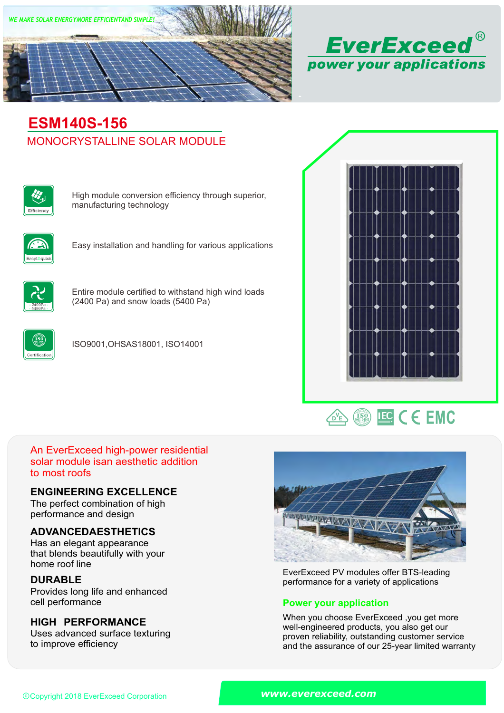



# MONOCRYSTALLINE SOLAR MODULE **ESM140S-156**



High module conversion efficiency through superior, manufacturing technology



Easy installation and handling for various applications



Entire module certified to withstand high wind loads (2400 Pa) and snow loads (5400 Pa)



ISO9001,OHSAS18001, ISO14001





# An EverExceed high-power residential solar module isan aesthetic addition to most roofs

## **ENGINEERING EXCELLENCE**

The perfect combination of high performance and design

# **ADVANCEDAESTHETICS**

Has an elegant appearance that blends beautifully with your home roof line

# **DURABLE**

Provides long life and enhanced<br>cell performance

# **HIGH PERFORMANCE**

Uses advanced surface texturing to improve efficiency



EverExceed PV modules offer BTS-leading performance for a variety of applications

## **Power your application**

When you choose EverExceed ,you get more well-engineered products, you also get our proven reliability, outstanding customer service and the assurance of our 25-year limited warranty